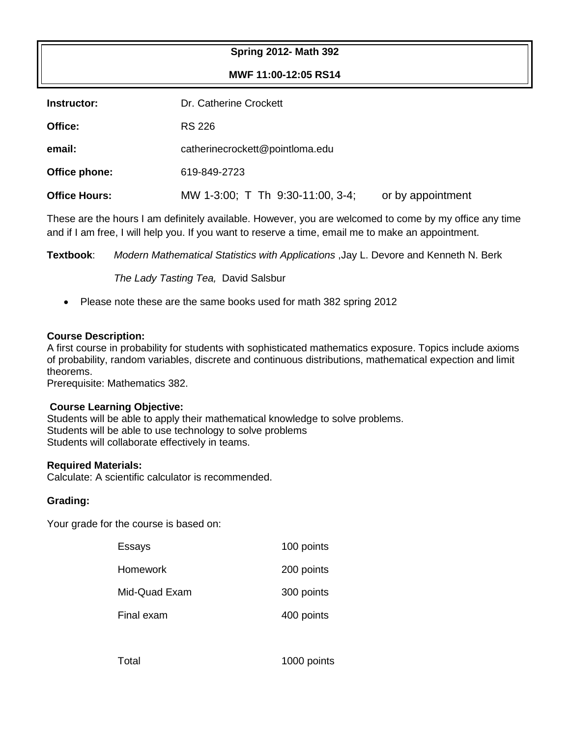## **Spring 2012- Math 392**

**MWF 11:00-12:05 RS14**

| Instructor:          | Dr. Catherine Crockett           |                   |  |
|----------------------|----------------------------------|-------------------|--|
| Office:              | <b>RS 226</b>                    |                   |  |
| email:               | catherinecrockett@pointloma.edu  |                   |  |
| Office phone:        | 619-849-2723                     |                   |  |
| <b>Office Hours:</b> | MW 1-3:00; T Th 9:30-11:00, 3-4; | or by appointment |  |

These are the hours I am definitely available. However, you are welcomed to come by my office any time and if I am free, I will help you. If you want to reserve a time, email me to make an appointment.

**Textbook**: *Modern Mathematical Statistics with Applications* ,Jay L. Devore and Kenneth N. Berk

*The Lady Tasting Tea,* David Salsbur

• Please note these are the same books used for math 382 spring 2012

#### **Course Description:**

A first course in probability for students with sophisticated mathematics exposure. Topics include axioms of probability, random variables, discrete and continuous distributions, mathematical expection and limit theorems.

Prerequisite: Mathematics 382.

## **Course Learning Objective:**

Students will be able to apply their mathematical knowledge to solve problems. Students will be able to use technology to solve problems Students will collaborate effectively in teams.

#### **Required Materials:**

Calculate: A scientific calculator is recommended.

## **Grading:**

Your grade for the course is based on:

| Essays          | 100 points |
|-----------------|------------|
| <b>Homework</b> | 200 points |
| Mid-Quad Exam   | 300 points |
| Final exam      | 400 points |
|                 |            |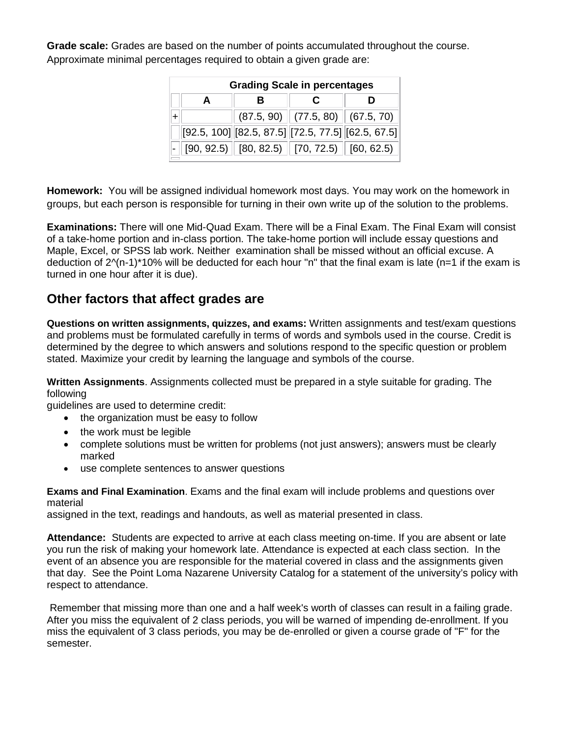**Grade scale:** Grades are based on the number of points accumulated throughout the course. Approximate minimal percentages required to obtain a given grade are:

| <b>Grading Scale in percentages</b> |  |  |                                                                                                  |  |  |
|-------------------------------------|--|--|--------------------------------------------------------------------------------------------------|--|--|
|                                     |  |  |                                                                                                  |  |  |
|                                     |  |  | $(87.5, 90)$ $(77.5, 80)$ $(67.5, 70)$                                                           |  |  |
|                                     |  |  | $[92.5, 100]$ $[82.5, 87.5]$ $[72.5, 77.5]$ $[62.5, 67.5]$                                       |  |  |
|                                     |  |  | $\vert\text{-}\Vert$ [90, 92.5) $\Vert$ [80, 82.5) $\Vert$ [70, 72.5) $\Vert$ [60, 62.5) $\vert$ |  |  |

**Homework:** You will be assigned individual homework most days. You may work on the homework in groups, but each person is responsible for turning in their own write up of the solution to the problems.

**Examinations:** There will one Mid-Quad Exam. There will be a Final Exam. The Final Exam will consist of a take-home portion and in-class portion. The take-home portion will include essay questions and Maple, Excel, or SPSS lab work. Neither examination shall be missed without an official excuse. A deduction of 2^(n-1)\*10% will be deducted for each hour "n" that the final exam is late (n=1 if the exam is turned in one hour after it is due).

# **Other factors that affect grades are**

**Questions on written assignments, quizzes, and exams:** Written assignments and test/exam questions and problems must be formulated carefully in terms of words and symbols used in the course. Credit is determined by the degree to which answers and solutions respond to the specific question or problem stated. Maximize your credit by learning the language and symbols of the course.

**Written Assignments**. Assignments collected must be prepared in a style suitable for grading. The following

guidelines are used to determine credit:

- the organization must be easy to follow
- the work must be legible
- complete solutions must be written for problems (not just answers); answers must be clearly marked
- use complete sentences to answer questions

**Exams and Final Examination**. Exams and the final exam will include problems and questions over material

assigned in the text, readings and handouts, as well as material presented in class.

**Attendance:** Students are expected to arrive at each class meeting on-time. If you are absent or late you run the risk of making your homework late. Attendance is expected at each class section. In the event of an absence you are responsible for the material covered in class and the assignments given that day. See the Point Loma Nazarene University Catalog for a statement of the university's policy with respect to attendance.

Remember that missing more than one and a half week's worth of classes can result in a failing grade. After you miss the equivalent of 2 class periods, you will be warned of impending de-enrollment. If you miss the equivalent of 3 class periods, you may be de-enrolled or given a course grade of "F" for the semester.